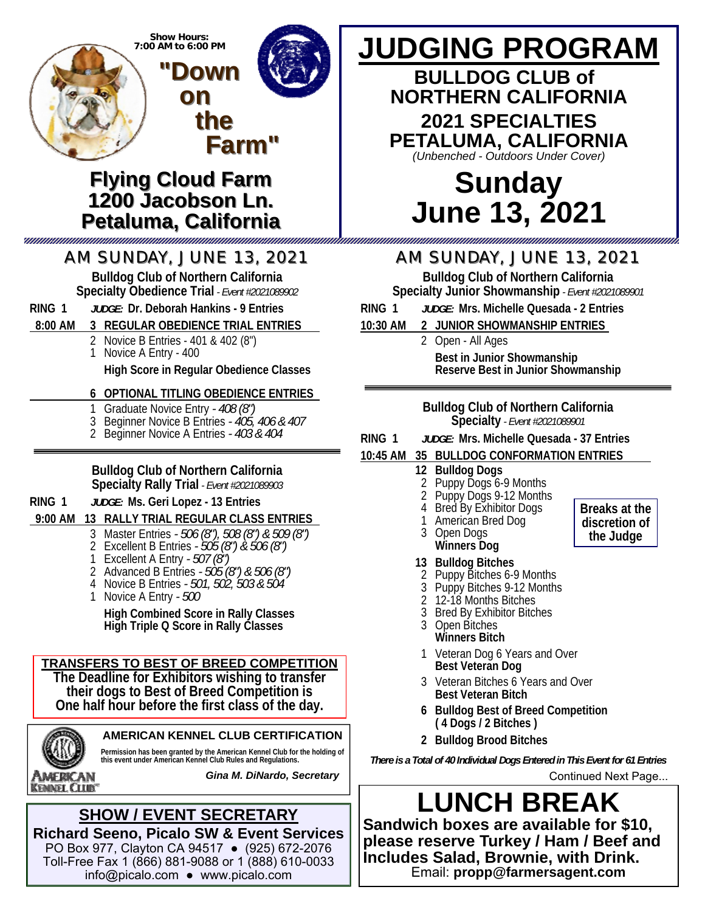

- 2 Excellent B Entries  *505 (8") & 506 (8")*
	- 1 Excellent A Entry  *507 (8")*
	- 2 Advanced B Entries  *505 (8") & 506 (8")*
	- 4 Novice B Entries  *501, 502, 503 & 504*
	- 1 Novice A Entry  *500*

 **High Combined Score in Rally Classes High Triple Q Score in Rally Classes**

#### **TRANSFERS TO BEST OF BREED COMPETITION**

**The Deadline for Exhibitors wishing to transfer their dogs to Best of Breed Competition is One half hour before the first class of the day.** 



**AMERICAN KENNEL CLUB CERTIFICATION** 

**Permission has been granted by the American Kennel Club for the holding of this event under American Kennel Club Rules and Regulations.** 

American **KEMNEL CLUB®**  *Gina M. DiNardo, Secretary*

#### **SHOW / EVENT SECRETARY Richard Seeno, Picalo SW & Event Services**

PO Box 977, Clayton CA 94517 ● (925) 672-2076 Toll-Free Fax 1 (866) 881-9088 or 1 (888) 610-0033 info@picalo.com ● www.picalo.com

# **Winners Dog**

#### **13 Bulldog Bitches**

- 2 Puppy Bitches 6-9 Months
- Puppy Bitches 9-12 Months
- 2 12-18 Months Bitches
- 3 Bred By Exhibitor Bitches
- 3 Open Bitches  **Winners Bitch**
- 1 Veteran Dog 6 Years and Over  **Best Veteran Dog**
- 3 Veteran Bitches 6 Years and Over  **Best Veteran Bitch**
- **6 Bulldog Best of Breed Competition ( 4 Dogs / 2 Bitches )**
- **2 Bulldog Brood Bitches**

*There is a Total of 40 Individual Dogs Entered in This Event for 61 Entries* Continued Next Page...

**LUNCH BREAK Sandwich boxes are available for \$10, please reserve Turkey / Ham / Beef and Includes Salad, Brownie, with Drink.**  Email: **propp@farmersagent.com** 

**Breaks at the discretion of the Judge**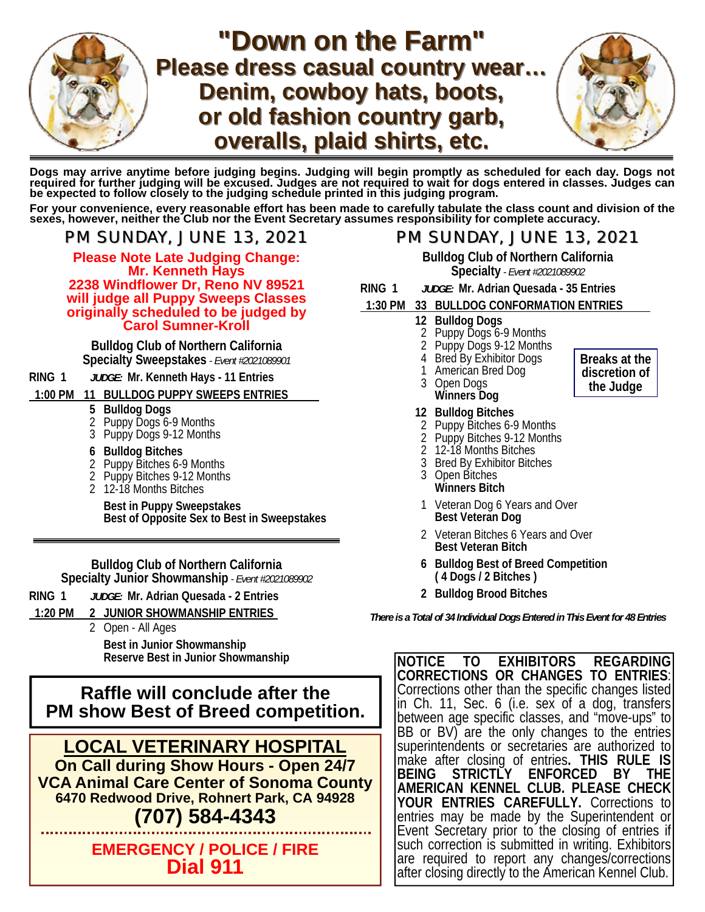

## **"Down on the Farm" Please dress casual country wear… Please dress casual country wear… Denim, cowboy hats, boots,** or old fashion country garb, **overalls, plaid shirts, etc. overalls, plaid shirts, etc.**



**Dogs may arrive anytime before judging begins. Judging will begin promptly as scheduled for each day. Dogs not**  required for further judging will be excused. Judges are not required to wait for dogs entered in classes. Judges can<br>be expected to follow closely to the judging schedule printed in this judging program.

For your convenience, every reasonable effort has been made to carefully tabulate the class count and division of the<br>sexes, however, neither the Club nor the Event Secretary assumes responsibility for complete accuracy.

**Please Note Late Judging Change: Mr. Kenneth Hays 2238 Windflower Dr, Reno NV 89521 will judge all Puppy Sweeps Classes originally scheduled to be judged by Carol Sumner-Kroll** 

**Bulldog Club of Northern California Specialty Sweepstakes** *- Event #2021089901*

#### **RING 1** *JUDGE:* **Mr. Kenneth Hays - 11 Entries**

#### **1:00 PM 11 BULLDOG PUPPY SWEEPS ENTRIES \_**

- **5 Bulldog Dogs**
- 2 Puppy Dogs 6-9 Months
- 3 Puppy Dogs 9-12 Months
- **6 Bulldog Bitches**
- 2 Puppy Bitches 6-9 Months
- 2 Puppy Bitches 9-12 Months
- 2 12-18 Months Bitches

 **Best in Puppy Sweepstakes Best of Opposite Sex to Best in Sweepstakes** 

**Bulldog Club of Northern California Specialty Junior Showmanship** *- Event #2021089902*

- **RING 1** *JUDGE:* **Mr. Adrian Quesada 2 Entries**
- **1:20 PM 2 JUNIOR SHOWMANSHIP ENTRIES \_**
	- 2 Open All Ages

 **Best in Junior Showmanship Reserve Best in Junior Showmanship**

**Raffle will conclude after the PM show Best of Breed competition.** 

**LOCAL VETERINARY HOSPITAL On Call during Show Hours - Open 24/7 VCA Animal Care Center of Sonoma County 6470 Redwood Drive, Rohnert Park, CA 94928**

### **(707) 584-4343**

**EMERGENCY / POLICE / FIRE Dial 911** 

#### *PM SUNDAY, JUNE 13, 2021 PM SUNDAY, JUNE 13, 2021 PM SUNDAY, JUNE 13, 2021 PM SUNDAY, JUNE 13, 2021*

**Bulldog Club of Northern California Specialty** *- Event #2021089902*

**RING 1** *JUDGE:* **Mr. Adrian Quesada - 35 Entries**

#### **1:30 PM 33 BULLDOG CONFORMATION ENTRIES \_**

- **12 Bulldog Dogs**
- 2 Puppy Dogs 6-9 Months<br>2 Puppy Dogs 9-12 Month
- Puppy Dogs 9-12 Months
- 4 Bred By Exhibitor Dogs
- 1 American Bred Dog
- 3 Open Dogs  **Winners Dog**
- **12 Bulldog Bitches**
- 2 Puppy Bitches 6-9 Months
	- 2 Puppy Bitches 9-12 Months
	- 2 12-18 Months Bitches
	- 3 Bred By Exhibitor Bitches
	- 3 Open Bitches  **Winners Bitch**
	- 1 Veteran Dog 6 Years and Over  **Best Veteran Dog**
	- 2 Veteran Bitches 6 Years and Over  **Best Veteran Bitch**
	- **6 Bulldog Best of Breed Competition ( 4 Dogs / 2 Bitches )**
	- **2 Bulldog Brood Bitches**

*There is a Total of 34 Individual Dogs Entered in This Event for 48 Entries*

**NOTICE TO EXHIBITORS REGARDING CORRECTIONS OR CHANGES TO ENTRIES**: Corrections other than the specific changes listed in Ch. 11, Sec. 6 (i.e. sex of a dog, transfers between age specific classes, and "move-ups" to BB or BV) are the only changes to the entries superintendents or secretaries are authorized to make after closing of entries**. THIS RULE IS STRICTLY ENFORCED BY THE AMERICAN KENNEL CLUB. PLEASE CHECK YOUR ENTRIES CAREFULLY.** Corrections to entries may be made by the Superintendent or Event Secretary prior to the closing of entries if such correction is submitted in writing. Exhibitors are required to report any changes/corrections after closing directly to the American Kennel Club.

**Breaks at the discretion of the Judge**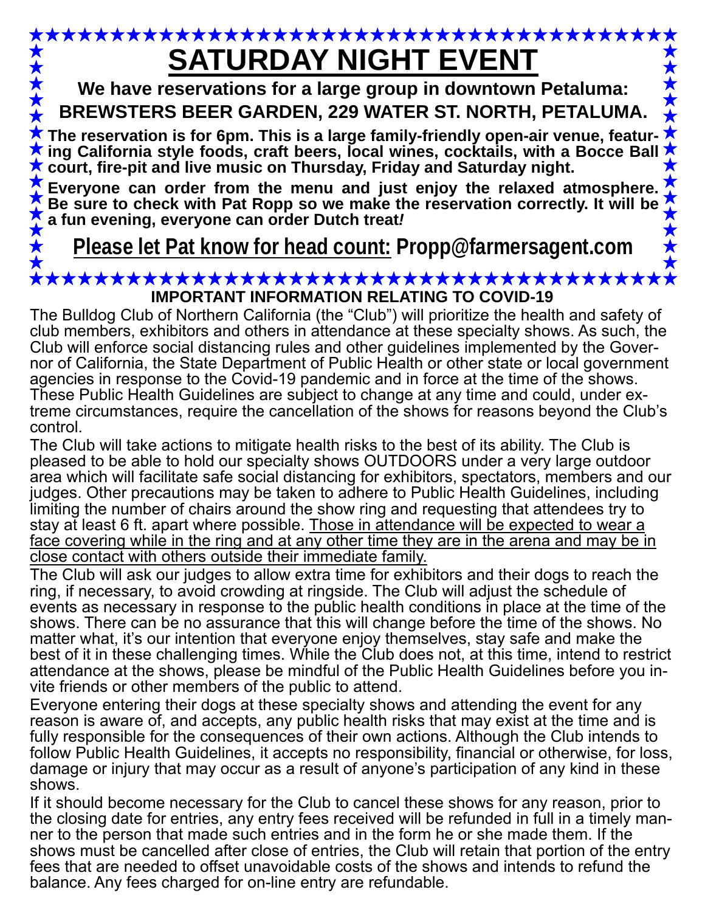# **SATURDAY NIGHT EVENT**

**We have reservations for a large group in downtown Petaluma: BREWSTERS BEER GARDEN, 229 WATER ST. NORTH, PETALUMA.** 

The reservation is for 6pm. This is a large family-friendly open-air venue, featur**ing California style foods, craft beers, local wines, cocktails, with a Bocce Ball court, fire-pit and live music on Thursday, Friday and Saturday night.** 

**Everyone can order from the menu and just enjoy the relaxed atmosphere. Be sure to check with Pat Ropp so we make the reservation correctly. It will be a fun evening, everyone can order Dutch treat***!*

**Please let Pat know for head count: Propp@farmersagent.com** 

#### **IMPORTANT INFORMATION RELATING TO COVID-19**

The Bulldog Club of Northern California (the "Club") will prioritize the health and safety of club members, exhibitors and others in attendance at these specialty shows. As such, the Club will enforce social distancing rules and other guidelines implemented by the Governor of California, the State Department of Public Health or other state or local government agencies in response to the Covid-19 pandemic and in force at the time of the shows. These Public Health Guidelines are subject to change at any time and could, under extreme circumstances, require the cancellation of the shows for reasons beyond the Club's control.

The Club will take actions to mitigate health risks to the best of its ability. The Club is pleased to be able to hold our specialty shows OUTDOORS under a very large outdoor area which will facilitate safe social distancing for exhibitors, spectators, members and our judges. Other precautions may be taken to adhere to Public Health Guidelines, including limiting the number of chairs around the show ring and requesting that attendees try to stay at least 6 ft. apart where possible. Those in attendance will be expected to wear a face covering while in the ring and at any other time they are in the arena and may be in close contact with others outside their immediate family.

The Club will ask our judges to allow extra time for exhibitors and their dogs to reach the ring, if necessary, to avoid crowding at ringside. The Club will adjust the schedule of events as necessary in response to the public health conditions in place at the time of the shows. There can be no assurance that this will change before the time of the shows. No matter what, it's our intention that everyone enjoy themselves, stay safe and make the best of it in these challenging times. While the Club does not, at this time, intend to restrict attendance at the shows, please be mindful of the Public Health Guidelines before you invite friends or other members of the public to attend.

Everyone entering their dogs at these specialty shows and attending the event for any reason is aware of, and accepts, any public health risks that may exist at the time and is fully responsible for the consequences of their own actions. Although the Club intends to follow Public Health Guidelines, it accepts no responsibility, financial or otherwise, for loss, damage or injury that may occur as a result of anyone's participation of any kind in these shows.

If it should become necessary for the Club to cancel these shows for any reason, prior to the closing date for entries, any entry fees received will be refunded in full in a timely manner to the person that made such entries and in the form he or she made them. If the shows must be cancelled after close of entries, the Club will retain that portion of the entry fees that are needed to offset unavoidable costs of the shows and intends to refund the balance. Any fees charged for on-line entry are refundable.